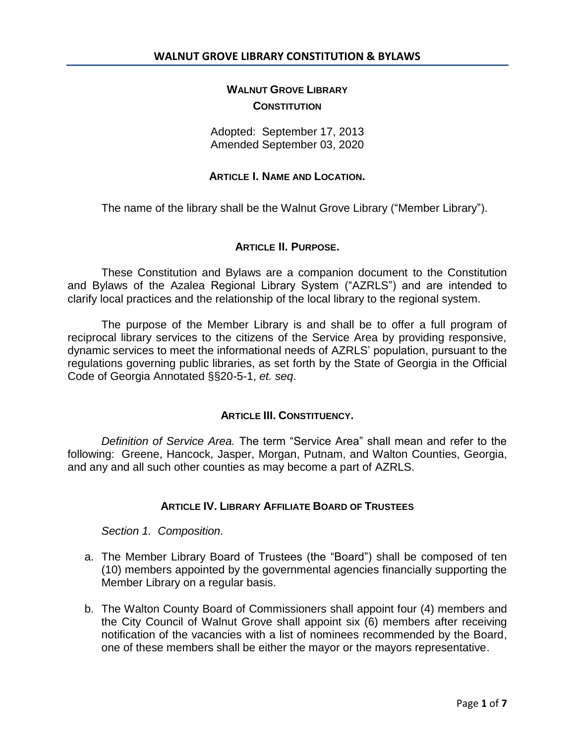## **WALNUT GROVE LIBRARY CONSTITUTION**

Adopted: September 17, 2013 Amended September 03, 2020

## **ARTICLE I. NAME AND LOCATION.**

The name of the library shall be the Walnut Grove Library ("Member Library").

## **ARTICLE II. PURPOSE.**

These Constitution and Bylaws are a companion document to the Constitution and Bylaws of the Azalea Regional Library System ("AZRLS") and are intended to clarify local practices and the relationship of the local library to the regional system.

The purpose of the Member Library is and shall be to offer a full program of reciprocal library services to the citizens of the Service Area by providing responsive, dynamic services to meet the informational needs of AZRLS' population, pursuant to the regulations governing public libraries, as set forth by the State of Georgia in the Official Code of Georgia Annotated §§20-5-1, *et. seq*.

## **ARTICLE III. CONSTITUENCY.**

*Definition of Service Area.* The term "Service Area" shall mean and refer to the following: Greene, Hancock, Jasper, Morgan, Putnam, and Walton Counties, Georgia, and any and all such other counties as may become a part of AZRLS.

## **ARTICLE IV. LIBRARY AFFILIATE BOARD OF TRUSTEES**

*Section 1. Composition.* 

- a. The Member Library Board of Trustees (the "Board") shall be composed of ten (10) members appointed by the governmental agencies financially supporting the Member Library on a regular basis.
- b. The Walton County Board of Commissioners shall appoint four (4) members and the City Council of Walnut Grove shall appoint six (6) members after receiving notification of the vacancies with a list of nominees recommended by the Board, one of these members shall be either the mayor or the mayors representative.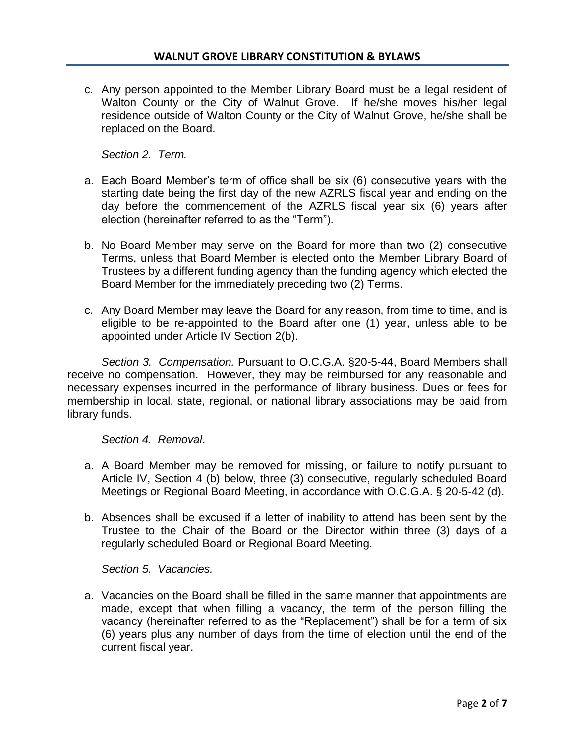c. Any person appointed to the Member Library Board must be a legal resident of Walton County or the City of Walnut Grove. If he/she moves his/her legal residence outside of Walton County or the City of Walnut Grove, he/she shall be replaced on the Board.

*Section 2. Term.*

- a. Each Board Member's term of office shall be six (6) consecutive years with the starting date being the first day of the new AZRLS fiscal year and ending on the day before the commencement of the AZRLS fiscal year six (6) years after election (hereinafter referred to as the "Term").
- b. No Board Member may serve on the Board for more than two (2) consecutive Terms, unless that Board Member is elected onto the Member Library Board of Trustees by a different funding agency than the funding agency which elected the Board Member for the immediately preceding two (2) Terms.
- c. Any Board Member may leave the Board for any reason, from time to time, and is eligible to be re-appointed to the Board after one (1) year, unless able to be appointed under Article IV Section 2(b).

*Section 3. Compensation.* Pursuant to O.C.G.A. §20-5-44, Board Members shall receive no compensation. However, they may be reimbursed for any reasonable and necessary expenses incurred in the performance of library business. Dues or fees for membership in local, state, regional, or national library associations may be paid from library funds.

*Section 4. Removal*.

- a. A Board Member may be removed for missing, or failure to notify pursuant to Article IV, Section 4 (b) below, three (3) consecutive, regularly scheduled Board Meetings or Regional Board Meeting, in accordance with O.C.G.A. § 20-5-42 (d).
- b. Absences shall be excused if a letter of inability to attend has been sent by the Trustee to the Chair of the Board or the Director within three (3) days of a regularly scheduled Board or Regional Board Meeting.

*Section 5. Vacancies.*

a. Vacancies on the Board shall be filled in the same manner that appointments are made, except that when filling a vacancy, the term of the person filling the vacancy (hereinafter referred to as the "Replacement") shall be for a term of six (6) years plus any number of days from the time of election until the end of the current fiscal year.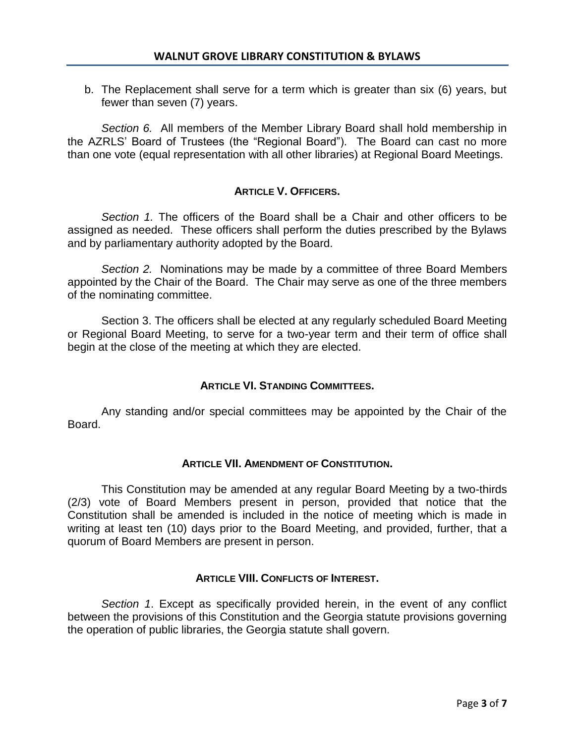b. The Replacement shall serve for a term which is greater than six (6) years, but fewer than seven (7) years.

*Section 6.* All members of the Member Library Board shall hold membership in the AZRLS' Board of Trustees (the "Regional Board"). The Board can cast no more than one vote (equal representation with all other libraries) at Regional Board Meetings.

## **ARTICLE V. OFFICERS.**

*Section 1.* The officers of the Board shall be a Chair and other officers to be assigned as needed. These officers shall perform the duties prescribed by the Bylaws and by parliamentary authority adopted by the Board.

*Section 2.* Nominations may be made by a committee of three Board Members appointed by the Chair of the Board. The Chair may serve as one of the three members of the nominating committee.

Section 3. The officers shall be elected at any regularly scheduled Board Meeting or Regional Board Meeting, to serve for a two-year term and their term of office shall begin at the close of the meeting at which they are elected.

## **ARTICLE VI. STANDING COMMITTEES.**

Any standing and/or special committees may be appointed by the Chair of the Board.

## **ARTICLE VII. AMENDMENT OF CONSTITUTION.**

This Constitution may be amended at any regular Board Meeting by a two-thirds (2/3) vote of Board Members present in person, provided that notice that the Constitution shall be amended is included in the notice of meeting which is made in writing at least ten (10) days prior to the Board Meeting, and provided, further, that a quorum of Board Members are present in person.

## **ARTICLE VIII. CONFLICTS OF INTEREST.**

*Section 1*. Except as specifically provided herein, in the event of any conflict between the provisions of this Constitution and the Georgia statute provisions governing the operation of public libraries, the Georgia statute shall govern.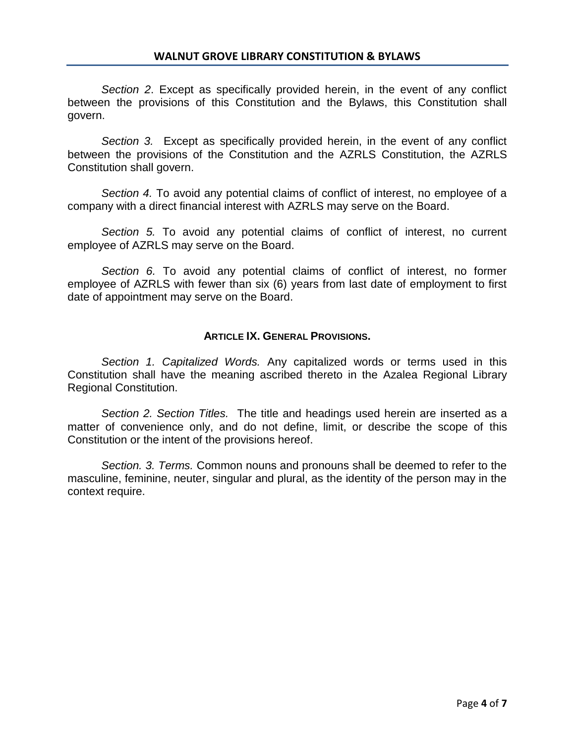*Section 2*. Except as specifically provided herein, in the event of any conflict between the provisions of this Constitution and the Bylaws, this Constitution shall govern.

*Section 3.* Except as specifically provided herein, in the event of any conflict between the provisions of the Constitution and the AZRLS Constitution, the AZRLS Constitution shall govern.

*Section 4.* To avoid any potential claims of conflict of interest, no employee of a company with a direct financial interest with AZRLS may serve on the Board.

*Section 5.* To avoid any potential claims of conflict of interest, no current employee of AZRLS may serve on the Board.

*Section 6.* To avoid any potential claims of conflict of interest, no former employee of AZRLS with fewer than six (6) years from last date of employment to first date of appointment may serve on the Board.

## **ARTICLE IX. GENERAL PROVISIONS.**

*Section 1. Capitalized Words.* Any capitalized words or terms used in this Constitution shall have the meaning ascribed thereto in the Azalea Regional Library Regional Constitution.

*Section 2. Section Titles.* The title and headings used herein are inserted as a matter of convenience only, and do not define, limit, or describe the scope of this Constitution or the intent of the provisions hereof.

*Section. 3. Terms.* Common nouns and pronouns shall be deemed to refer to the masculine, feminine, neuter, singular and plural, as the identity of the person may in the context require.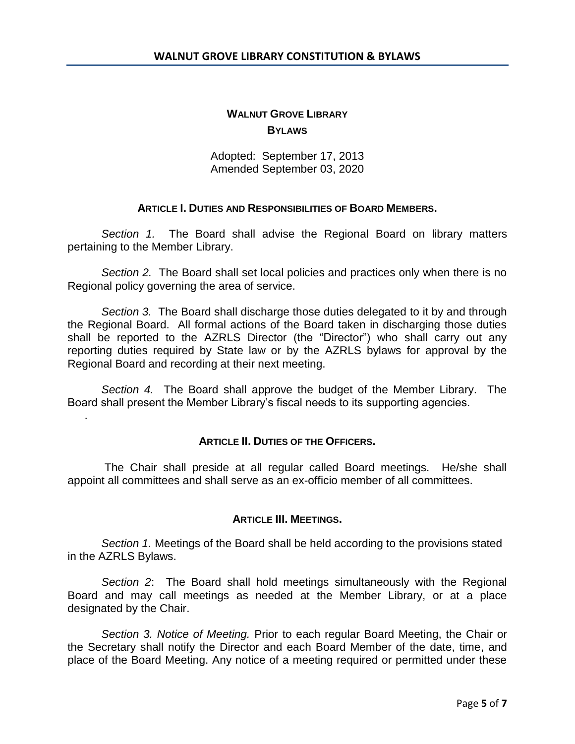# **WALNUT GROVE LIBRARY BYLAWS**

Adopted: September 17, 2013 Amended September 03, 2020

## **ARTICLE I. DUTIES AND RESPONSIBILITIES OF BOARD MEMBERS.**

*Section 1.* The Board shall advise the Regional Board on library matters pertaining to the Member Library.

*Section 2.* The Board shall set local policies and practices only when there is no Regional policy governing the area of service.

*Section 3.* The Board shall discharge those duties delegated to it by and through the Regional Board. All formal actions of the Board taken in discharging those duties shall be reported to the AZRLS Director (the "Director") who shall carry out any reporting duties required by State law or by the AZRLS bylaws for approval by the Regional Board and recording at their next meeting.

*Section 4.* The Board shall approve the budget of the Member Library. The Board shall present the Member Library's fiscal needs to its supporting agencies.

.

## **ARTICLE II. DUTIES OF THE OFFICERS.**

The Chair shall preside at all regular called Board meetings. He/she shall appoint all committees and shall serve as an ex-officio member of all committees.

## **ARTICLE III. MEETINGS.**

*Section 1.* Meetings of the Board shall be held according to the provisions stated in the AZRLS Bylaws.

*Section 2*: The Board shall hold meetings simultaneously with the Regional Board and may call meetings as needed at the Member Library, or at a place designated by the Chair.

*Section 3. Notice of Meeting.* Prior to each regular Board Meeting, the Chair or the Secretary shall notify the Director and each Board Member of the date, time, and place of the Board Meeting. Any notice of a meeting required or permitted under these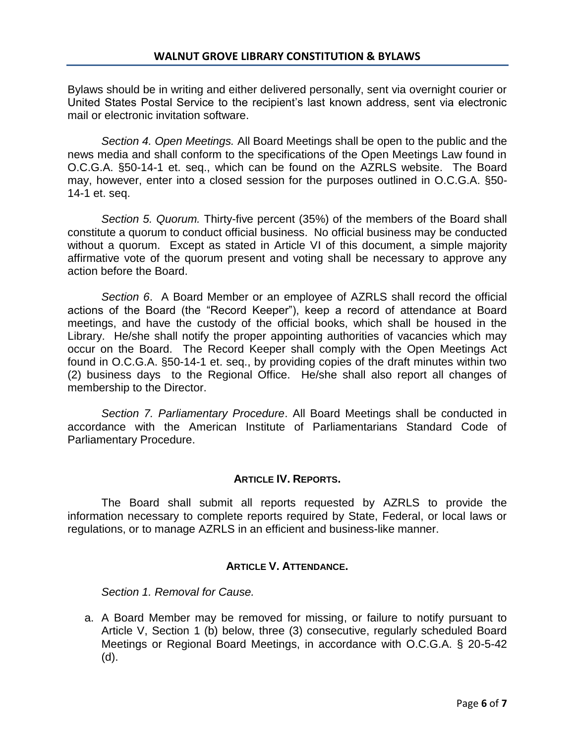Bylaws should be in writing and either delivered personally, sent via overnight courier or United States Postal Service to the recipient's last known address, sent via electronic mail or electronic invitation software.

*Section 4. Open Meetings.* All Board Meetings shall be open to the public and the news media and shall conform to the specifications of the Open Meetings Law found in O.C.G.A. §50-14-1 et. seq., which can be found on the AZRLS website. The Board may, however, enter into a closed session for the purposes outlined in O.C.G.A. §50- 14-1 et. seq.

*Section 5. Quorum.* Thirty-five percent (35%) of the members of the Board shall constitute a quorum to conduct official business. No official business may be conducted without a quorum. Except as stated in Article VI of this document, a simple majority affirmative vote of the quorum present and voting shall be necessary to approve any action before the Board.

*Section 6*. A Board Member or an employee of AZRLS shall record the official actions of the Board (the "Record Keeper"), keep a record of attendance at Board meetings, and have the custody of the official books, which shall be housed in the Library. He/she shall notify the proper appointing authorities of vacancies which may occur on the Board. The Record Keeper shall comply with the Open Meetings Act found in O.C.G.A. §50-14-1 et. seq., by providing copies of the draft minutes within two (2) business days to the Regional Office. He/she shall also report all changes of membership to the Director.

*Section 7. Parliamentary Procedure*. All Board Meetings shall be conducted in accordance with the American Institute of Parliamentarians Standard Code of Parliamentary Procedure.

## **ARTICLE IV. REPORTS.**

The Board shall submit all reports requested by AZRLS to provide the information necessary to complete reports required by State, Federal, or local laws or regulations, or to manage AZRLS in an efficient and business-like manner.

## **ARTICLE V. ATTENDANCE.**

*Section 1. Removal for Cause.*

a. A Board Member may be removed for missing, or failure to notify pursuant to Article V, Section 1 (b) below, three (3) consecutive, regularly scheduled Board Meetings or Regional Board Meetings, in accordance with O.C.G.A. § 20-5-42 (d).